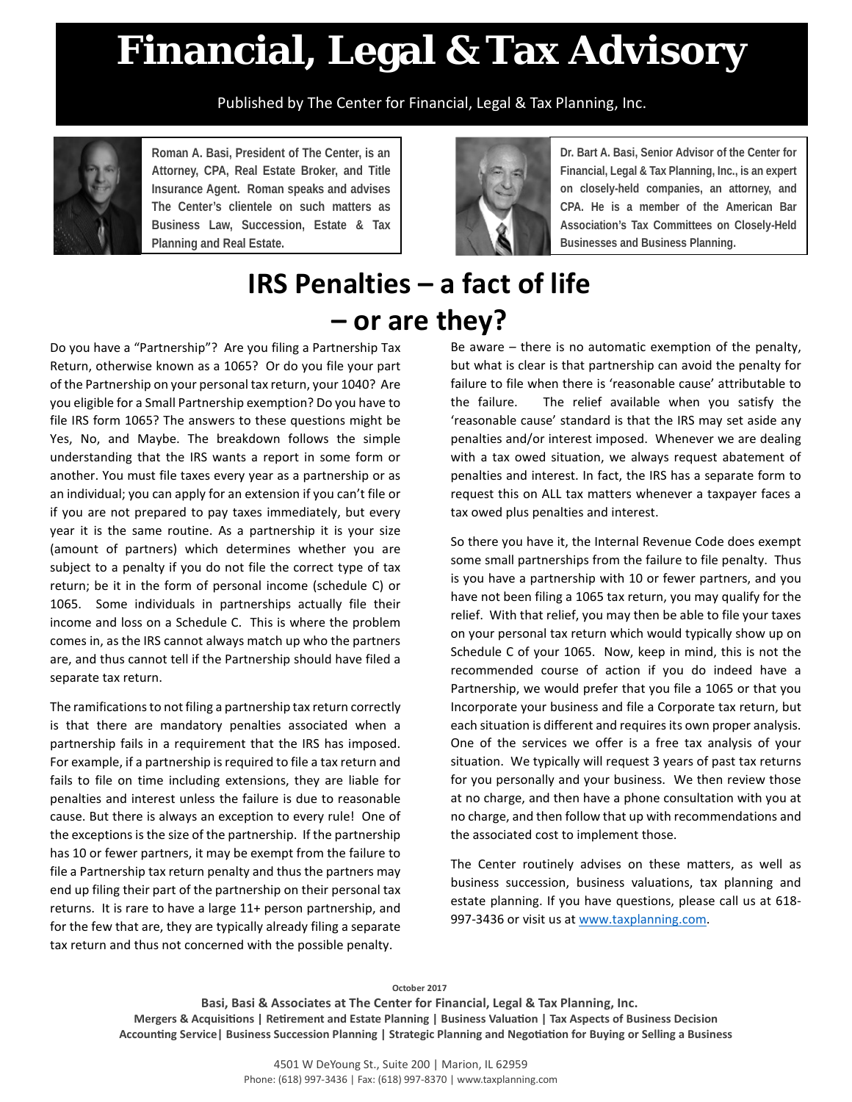## **Financial, Legal & Tax Advisory**

Published by The Center for Financial, Legal & Tax Planning, Inc.



**Roman A. Basi, President of The Center, is an Attorney, CPA, Real Estate Broker, and Title Insurance Agent. Roman speaks and advises The Center's clientele on such matters as Business Law, Succession, Estate & Tax Planning and Real Estate.**



**Dr. Bart A. Basi, Senior Advisor of the Center for Financial, Legal & Tax Planning, Inc., is an expert on closely-held companies, an attorney, and CPA. He is a member of the American Bar Association's Tax Committees on Closely-Held Businesses and Business Planning.**

## **IRS Penalties – a fact of life – or are they?**

Do you have a "Partnership"? Are you filing a Partnership Tax Return, otherwise known as a 1065? Or do you file your part of the Partnership on your personal tax return, your 1040? Are you eligible for a Small Partnership exemption? Do you have to file IRS form 1065? The answers to these questions might be Yes, No, and Maybe. The breakdown follows the simple understanding that the IRS wants a report in some form or another. You must file taxes every year as a partnership or as an individual; you can apply for an extension if you can't file or if you are not prepared to pay taxes immediately, but every year it is the same routine. As a partnership it is your size (amount of partners) which determines whether you are subject to a penalty if you do not file the correct type of tax return; be it in the form of personal income (schedule C) or 1065. Some individuals in partnerships actually file their income and loss on a Schedule C. This is where the problem comes in, as the IRS cannot always match up who the partners are, and thus cannot tell if the Partnership should have filed a separate tax return.

The ramifications to not filing a partnership tax return correctly is that there are mandatory penalties associated when a partnership fails in a requirement that the IRS has imposed. For example, if a partnership is required to file a tax return and fails to file on time including extensions, they are liable for penalties and interest unless the failure is due to reasonable cause. But there is always an exception to every rule! One of the exceptions is the size of the partnership. If the partnership has 10 or fewer partners, it may be exempt from the failure to file a Partnership tax return penalty and thus the partners may end up filing their part of the partnership on their personal tax returns. It is rare to have a large 11+ person partnership, and for the few that are, they are typically already filing a separate tax return and thus not concerned with the possible penalty.

Be aware – there is no automatic exemption of the penalty, but what is clear is that partnership can avoid the penalty for failure to file when there is 'reasonable cause' attributable to the failure. The relief available when you satisfy the 'reasonable cause' standard is that the IRS may set aside any penalties and/or interest imposed. Whenever we are dealing with a tax owed situation, we always request abatement of penalties and interest. In fact, the IRS has a separate form to request this on ALL tax matters whenever a taxpayer faces a tax owed plus penalties and interest.

So there you have it, the Internal Revenue Code does exempt some small partnerships from the failure to file penalty. Thus is you have a partnership with 10 or fewer partners, and you have not been filing a 1065 tax return, you may qualify for the relief. With that relief, you may then be able to file your taxes on your personal tax return which would typically show up on Schedule C of your 1065. Now, keep in mind, this is not the recommended course of action if you do indeed have a Partnership, we would prefer that you file a 1065 or that you Incorporate your business and file a Corporate tax return, but each situation is different and requires its own proper analysis. One of the services we offer is a free tax analysis of your situation. We typically will request 3 years of past tax returns for you personally and your business. We then review those at no charge, and then have a phone consultation with you at no charge, and then follow that up with recommendations and the associated cost to implement those.

The Center routinely advises on these matters, as well as business succession, business valuations, tax planning and estate planning. If you have questions, please call us at 618- 997-3436 or visit us at [www.taxplanning.com.](http://www.taxplanning.com/)

**October 2017** 

**Basi, Basi & Associates at The Center for Financial, Legal & Tax Planning, Inc. Mergers & Acquisitions | Retirement and Estate Planning | Business Valuation | Tax Aspects of Business Decision Accounting Service| Business Succession Planning | Strategic Planning and Negotiation for Buying or Selling a Business**